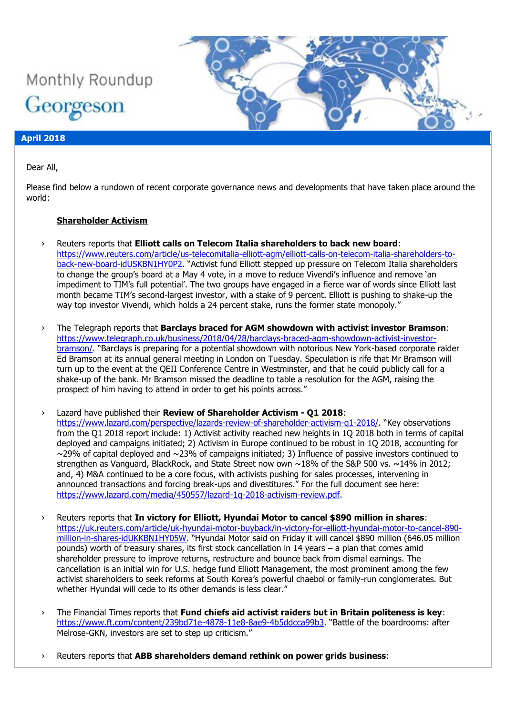# Monthly Roundup Georgeson

#### **April 2018**

Dear All,

Please find below a rundown of recent corporate governance news and developments that have taken place around the world:

## **Shareholder Activism**

- › Reuters reports that **Elliott calls on Telecom Italia shareholders to back new board**: [https://www.reuters.com/article/us-telecomitalia-elliott-agm/elliott-calls-on-telecom-italia-shareholders-to](https://www.reuters.com/article/us-telecomitalia-elliott-agm/elliott-calls-on-telecom-italia-shareholders-to-back-new-board-idUSKBN1HY0P2)[back-new-board-idUSKBN1HY0P2](https://www.reuters.com/article/us-telecomitalia-elliott-agm/elliott-calls-on-telecom-italia-shareholders-to-back-new-board-idUSKBN1HY0P2). "Activist fund Elliott stepped up pressure on Telecom Italia shareholders to change the group's board at a May 4 vote, in a move to reduce Vivendi's influence and remove 'an impediment to TIM's full potential'. The two groups have engaged in a fierce war of words since Elliott last month became TIM's second-largest investor, with a stake of 9 percent. Elliott is pushing to shake-up the way top investor Vivendi, which holds a 24 percent stake, runs the former state monopoly."
- › The Telegraph reports that **Barclays braced for AGM showdown with activist investor Bramson**: [https://www.telegraph.co.uk/business/2018/04/28/barclays-braced-agm-showdown-activist-investor](https://www.telegraph.co.uk/business/2018/04/28/barclays-braced-agm-showdown-activist-investor-bramson/)[bramson/](https://www.telegraph.co.uk/business/2018/04/28/barclays-braced-agm-showdown-activist-investor-bramson/). "Barclays is preparing for a potential showdown with notorious New York-based corporate raider Ed Bramson at its annual general meeting in London on Tuesday. Speculation is rife that Mr Bramson will turn up to the event at the QEII Conference Centre in Westminster, and that he could publicly call for a shake-up of the bank. Mr Bramson missed the deadline to table a resolution for the AGM, raising the prospect of him having to attend in order to get his points across."
- › Lazard have published their **Review of Shareholder Activism - Q1 2018**: <https://www.lazard.com/perspective/lazards-review-of-shareholder-activism-q1-2018/>. "Key observations from the Q1 2018 report include: 1) Activist activity reached new heights in 1Q 2018 both in terms of capital deployed and campaigns initiated; 2) Activism in Europe continued to be robust in 1Q 2018, accounting for  $\sim$ 29% of capital deployed and  $\sim$ 23% of campaigns initiated; 3) Influence of passive investors continued to strengthen as Vanguard, BlackRock, and State Street now own ~18% of the S&P 500 vs. ~14% in 2012; and, 4) M&A continued to be a core focus, with activists pushing for sales processes, intervening in announced transactions and forcing break-ups and divestitures." For the full document see here: [https://www.lazard.com/media/450557/lazard-1q-2018-activism-review.pdf.](https://www.lazard.com/media/450557/lazard-1q-2018-activism-review.pdf)
- › Reuters reports that **In victory for Elliott, Hyundai Motor to cancel \$890 million in shares**: [https://uk.reuters.com/article/uk-hyundai-motor-buyback/in-victory-for-elliott-hyundai-motor-to-cancel-890](https://uk.reuters.com/article/uk-hyundai-motor-buyback/in-victory-for-elliott-hyundai-motor-to-cancel-890-million-in-shares-idUKKBN1HY05W) [million-in-shares-idUKKBN1HY05W](https://uk.reuters.com/article/uk-hyundai-motor-buyback/in-victory-for-elliott-hyundai-motor-to-cancel-890-million-in-shares-idUKKBN1HY05W). "Hyundai Motor said on Friday it will cancel \$890 million (646.05 million pounds) worth of treasury shares, its first stock cancellation in 14 years – a plan that comes amid shareholder pressure to improve returns, restructure and bounce back from dismal earnings. The cancellation is an initial win for U.S. hedge fund Elliott Management, the most prominent among the few activist shareholders to seek reforms at South Korea's powerful chaebol or family-run conglomerates. But whether Hyundai will cede to its other demands is less clear."
- › The Financial Times reports that **Fund chiefs aid activist raiders but in Britain politeness is key**: <https://www.ft.com/content/239bd71e-4878-11e8-8ae9-4b5ddcca99b3>. "Battle of the boardrooms: after Melrose-GKN, investors are set to step up criticism."
- › Reuters reports that **ABB shareholders demand rethink on power grids business**: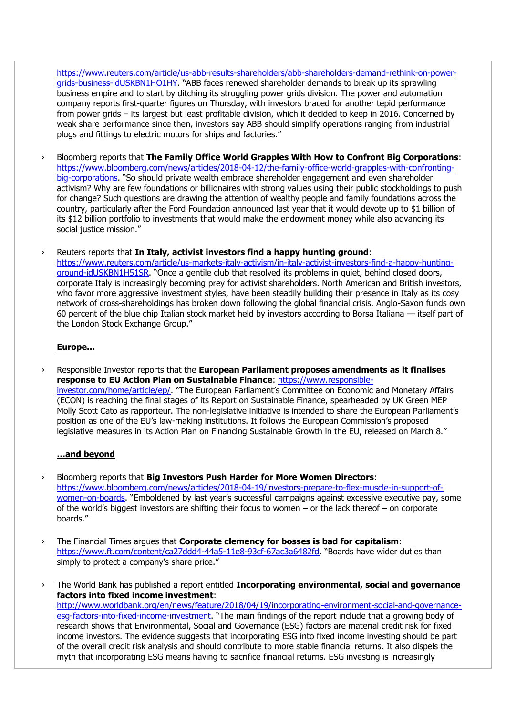[https://www.reuters.com/article/us-abb-results-shareholders/abb-shareholders-demand-rethink-on-power](https://www.reuters.com/article/us-abb-results-shareholders/abb-shareholders-demand-rethink-on-power-grids-business-idUSKBN1HO1HY)[grids-business-idUSKBN1HO1HY](https://www.reuters.com/article/us-abb-results-shareholders/abb-shareholders-demand-rethink-on-power-grids-business-idUSKBN1HO1HY). "ABB faces renewed shareholder demands to break up its sprawling business empire and to start by ditching its struggling power grids division. The power and automation company reports first-quarter figures on Thursday, with investors braced for another tepid performance from power grids – its largest but least profitable division, which it decided to keep in 2016. Concerned by weak share performance since then, investors say ABB should simplify operations ranging from industrial plugs and fittings to electric motors for ships and factories."

- › Bloomberg reports that **The Family Office World Grapples With How to Confront Big Corporations**: [https://www.bloomberg.com/news/articles/2018-04-12/the-family-office-world-grapples-with-confronting](https://www.bloomberg.com/news/articles/2018-04-12/the-family-office-world-grapples-with-confronting-big-corporations)[big-corporations](https://www.bloomberg.com/news/articles/2018-04-12/the-family-office-world-grapples-with-confronting-big-corporations). "So should private wealth embrace shareholder engagement and even shareholder activism? Why are few foundations or billionaires with strong values using their public stockholdings to push for change? Such questions are drawing the attention of wealthy people and family foundations across the country, particularly after the Ford Foundation announced last year that it would devote up to \$1 billion of its \$12 billion portfolio to investments that would make the endowment money while also advancing its social justice mission."
- › Reuters reports that **In Italy, activist investors find a happy hunting ground**:

[https://www.reuters.com/article/us-markets-italy-activism/in-italy-activist-investors-find-a-happy-hunting](https://www.reuters.com/article/us-markets-italy-activism/in-italy-activist-investors-find-a-happy-hunting-ground-idUSKBN1H51SR)[ground-idUSKBN1H51SR](https://www.reuters.com/article/us-markets-italy-activism/in-italy-activist-investors-find-a-happy-hunting-ground-idUSKBN1H51SR). "Once a gentile club that resolved its problems in quiet, behind closed doors, corporate Italy is increasingly becoming prey for activist shareholders. North American and British investors, who favor more aggressive investment styles, have been steadily building their presence in Italy as its cosy network of cross-shareholdings has broken down following the global financial crisis. Anglo-Saxon funds own 60 percent of the blue chip Italian stock market held by investors according to Borsa Italiana — itself part of the London Stock Exchange Group."

#### **Europe…**

› Responsible Investor reports that the **European Parliament proposes amendments as it finalises response to EU Action Plan on Sustainable Finance**: [https://www.responsible](https://www.responsible-investor.com/home/article/ep/)[investor.com/home/article/ep/](https://www.responsible-investor.com/home/article/ep/). "The European Parliament's Committee on Economic and Monetary Affairs (ECON) is reaching the final stages of its Report on Sustainable Finance, spearheaded by UK Green MEP Molly Scott Cato as rapporteur. The non-legislative initiative is intended to share the European Parliament's position as one of the EU's law-making institutions. It follows the European Commission's proposed legislative measures in its Action Plan on Financing Sustainable Growth in the EU, released on March 8."

#### **…and beyond**

- › Bloomberg reports that **Big Investors Push Harder for More Women Directors**: [https://www.bloomberg.com/news/articles/2018-04-19/investors-prepare-to-flex-muscle-in-support-of](https://www.bloomberg.com/news/articles/2018-04-19/investors-prepare-to-flex-muscle-in-support-of-women-on-boards)[women-on-boards](https://www.bloomberg.com/news/articles/2018-04-19/investors-prepare-to-flex-muscle-in-support-of-women-on-boards). "Emboldened by last year's successful campaigns against excessive executive pay, some of the world's biggest investors are shifting their focus to women – or the lack thereof – on corporate boards."
- › The Financial Times argues that **Corporate clemency for bosses is bad for capitalism**: <https://www.ft.com/content/ca27ddd4-44a5-11e8-93cf-67ac3a6482fd>. "Boards have wider duties than simply to protect a company's share price."

› The World Bank has published a report entitled **Incorporating environmental, social and governance factors into fixed income investment**: [http://www.worldbank.org/en/news/feature/2018/04/19/incorporating-environment-social-and-governance](http://www.worldbank.org/en/news/feature/2018/04/19/incorporating-environment-social-and-governance-esg-factors-into-fixed-income-investment)[esg-factors-into-fixed-income-investment](http://www.worldbank.org/en/news/feature/2018/04/19/incorporating-environment-social-and-governance-esg-factors-into-fixed-income-investment). "The main findings of the report include that a growing body of research shows that Environmental, Social and Governance (ESG) factors are material credit risk for fixed income investors. The evidence suggests that incorporating ESG into fixed income investing should be part of the overall credit risk analysis and should contribute to more stable financial returns. It also dispels the myth that incorporating ESG means having to sacrifice financial returns. ESG investing is increasingly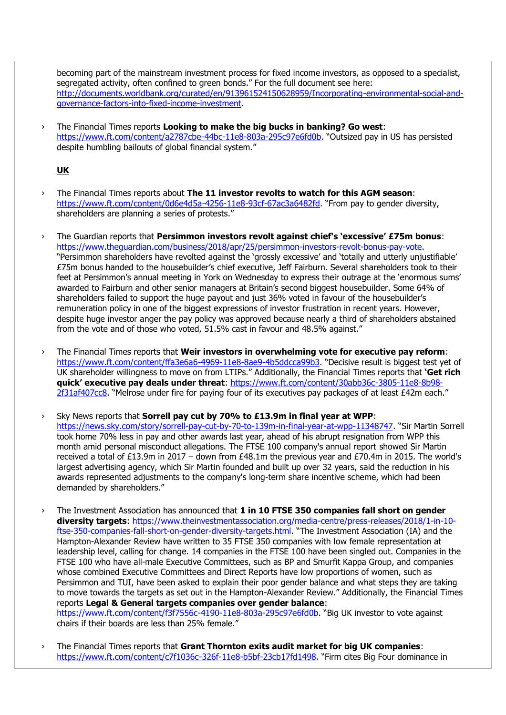becoming part of the mainstream investment process for fixed income investors, as opposed to a specialist, segregated activity, often confined to green bonds." For the full document see here: [http://documents.worldbank.org/curated/en/913961524150628959/Incorporating-environmental-social-and](http://documents.worldbank.org/curated/en/913961524150628959/Incorporating-environmental-social-and-governance-factors-into-fixed-income-investment)[governance-factors-into-fixed-income-investment.](http://documents.worldbank.org/curated/en/913961524150628959/Incorporating-environmental-social-and-governance-factors-into-fixed-income-investment)

› The Financial Times reports **Looking to make the big bucks in banking? Go west**: <https://www.ft.com/content/a2787cbe-44bc-11e8-803a-295c97e6fd0b>. "Outsized pay in US has persisted despite humbling bailouts of global financial system."

## **UK**

- › The Financial Times reports about **The 11 investor revolts to watch for this AGM season**: <https://www.ft.com/content/0d6e4d5a-4256-11e8-93cf-67ac3a6482fd>. "From pay to gender diversity, shareholders are planning a series of protests."
- › The Guardian reports that **Persimmon investors revolt against chief's 'excessive' £75m bonus**: [https://www.theguardian.com/business/2018/apr/25/persimmon-investors-revolt-bonus-pay-vote.](https://www.theguardian.com/business/2018/apr/25/persimmon-investors-revolt-bonus-pay-vote) "Persimmon shareholders have revolted against the 'grossly excessive' and 'totally and utterly unjustifiable' £75m bonus handed to the housebuilder's chief executive, Jeff Fairburn. Several shareholders took to their feet at Persimmon's annual meeting in York on Wednesday to express their outrage at the 'enormous sums' awarded to Fairburn and other senior managers at Britain's second biggest housebuilder. Some 64% of shareholders failed to support the huge payout and just 36% voted in favour of the housebuilder's remuneration policy in one of the biggest expressions of investor frustration in recent years. However, despite huge investor anger the pay policy was approved because nearly a third of shareholders abstained from the vote and of those who voted, 51.5% cast in favour and 48.5% against."
- › The Financial Times reports that **Weir investors in overwhelming vote for executive pay reform**: <https://www.ft.com/content/ffa3e6a6-4969-11e8-8ae9-4b5ddcca99b3>. "Decisive result is biggest test yet of UK shareholder willingness to move on from LTIPs." Additionally, the Financial Times reports that **'Get rich quick' executive pay deals under threat**: [https://www.ft.com/content/30abb36c-3805-11e8-8b98-](https://www.ft.com/content/30abb36c-3805-11e8-8b98-2f31af407cc8) [2f31af407cc8](https://www.ft.com/content/30abb36c-3805-11e8-8b98-2f31af407cc8). "Melrose under fire for paying four of its executives pay packages of at least £42m each."
- › Sky News reports that **Sorrell pay cut by 70% to £13.9m in final year at WPP**: <https://news.sky.com/story/sorrell-pay-cut-by-70-to-139m-in-final-year-at-wpp-11348747>. "Sir Martin Sorrell took home 70% less in pay and other awards last year, ahead of his abrupt resignation from WPP this month amid personal misconduct allegations. The FTSE 100 company's annual report showed Sir Martin received a total of £13.9m in 2017 – down from £48.1m the previous year and £70.4m in 2015. The world's largest advertising agency, which Sir Martin founded and built up over 32 years, said the reduction in his awards represented adjustments to the company's long-term share incentive scheme, which had been demanded by shareholders."
- › The Investment Association has announced that **1 in 10 FTSE 350 companies fall short on gender diversity targets**: [https://www.theinvestmentassociation.org/media-centre/press-releases/2018/1-in-10](https://www.theinvestmentassociation.org/media-centre/press-releases/2018/1-in-10-ftse-350-companies-fall-short-on-gender-diversity-targets.html) [ftse-350-companies-fall-short-on-gender-diversity-targets.html](https://www.theinvestmentassociation.org/media-centre/press-releases/2018/1-in-10-ftse-350-companies-fall-short-on-gender-diversity-targets.html). "The Investment Association (IA) and the Hampton-Alexander Review have written to 35 FTSE 350 companies with low female representation at leadership level, calling for change. 14 companies in the FTSE 100 have been singled out. Companies in the FTSE 100 who have all-male Executive Committees, such as BP and Smurfit Kappa Group, and companies whose combined Executive Committees and Direct Reports have low proportions of women, such as Persimmon and TUI, have been asked to explain their poor gender balance and what steps they are taking to move towards the targets as set out in the Hampton-Alexander Review." Additionally, the Financial Times reports **Legal & General targets companies over gender balance**: <https://www.ft.com/content/f3f7556c-4190-11e8-803a-295c97e6fd0b>. "Big UK investor to vote against chairs if their boards are less than 25% female."
- › The Financial Times reports that **Grant Thornton exits audit market for big UK companies**: <https://www.ft.com/content/c7f1036c-326f-11e8-b5bf-23cb17fd1498>. "Firm cites Big Four dominance in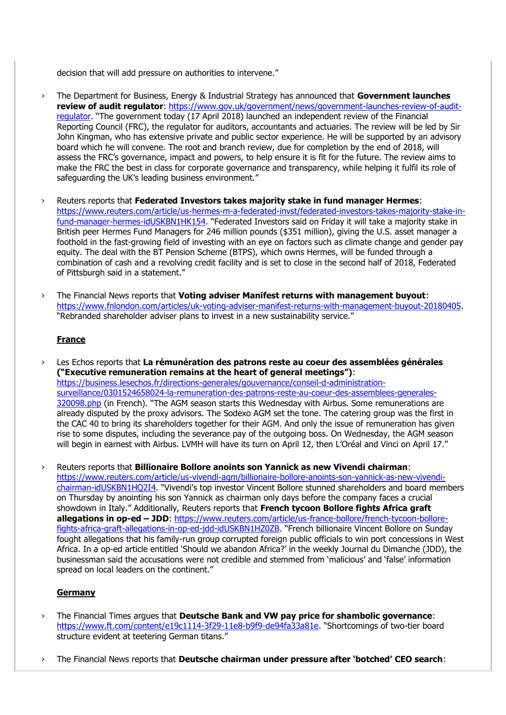decision that will add pressure on authorities to intervene."

- › The Department for Business, Energy & Industrial Strategy has announced that **Government launches review of audit regulator**: [https://www.gov.uk/government/news/government-launches-review-of-audit](https://www.gov.uk/government/news/government-launches-review-of-audit-regulator)[regulator](https://www.gov.uk/government/news/government-launches-review-of-audit-regulator). "The government today (17 April 2018) launched an independent review of the Financial Reporting Council (FRC), the regulator for auditors, accountants and actuaries. The review will be led by Sir John Kingman, who has extensive private and public sector experience. He will be supported by an advisory board which he will convene. The root and branch review, due for completion by the end of 2018, will assess the FRC's governance, impact and powers, to help ensure it is fit for the future. The review aims to make the FRC the best in class for corporate governance and transparency, while helping it fulfil its role of safeguarding the UK's leading business environment."
- › Reuters reports that **Federated Investors takes majority stake in fund manager Hermes**: [https://www.reuters.com/article/us-hermes-m-a-federated-invst/federated-investors-takes-majority-stake-in](https://www.reuters.com/article/us-hermes-m-a-federated-invst/federated-investors-takes-majority-stake-in-fund-manager-hermes-idUSKBN1HK154)[fund-manager-hermes-idUSKBN1HK154](https://www.reuters.com/article/us-hermes-m-a-federated-invst/federated-investors-takes-majority-stake-in-fund-manager-hermes-idUSKBN1HK154). "Federated Investors said on Friday it will take a majority stake in British peer Hermes Fund Managers for 246 million pounds (\$351 million), giving the U.S. asset manager a foothold in the fast-growing field of investing with an eye on factors such as climate change and gender pay equity. The deal with the BT Pension Scheme (BTPS), which owns Hermes, will be funded through a combination of cash and a revolving credit facility and is set to close in the second half of 2018, Federated of Pittsburgh said in a statement."
- › The Financial News reports that **Voting adviser Manifest returns with management buyout**: [https://www.fnlondon.com/articles/uk-voting-adviser-manifest-returns-with-management-buyout-20180405.](https://www.fnlondon.com/articles/uk-voting-adviser-manifest-returns-with-management-buyout-20180405) "Rebranded shareholder adviser plans to invest in a new sustainability service."

#### **France**

Les Echos reports that La rémunération des patrons reste au coeur des assemblées générales **("Executive remuneration remains at the heart of general meetings")**: [https://business.lesechos.fr/directions-generales/gouvernance/conseil-d-administration](https://business.lesechos.fr/directions-generales/gouvernance/conseil-d-administration-surveillance/0301524658024-la-remuneration-des-patrons-reste-au-coeur-des-assemblees-generales-320098.php)[surveillance/0301524658024-la-remuneration-des-patrons-reste-au-coeur-des-assemblees-generales-](https://business.lesechos.fr/directions-generales/gouvernance/conseil-d-administration-surveillance/0301524658024-la-remuneration-des-patrons-reste-au-coeur-des-assemblees-generales-320098.php)[320098.php](https://business.lesechos.fr/directions-generales/gouvernance/conseil-d-administration-surveillance/0301524658024-la-remuneration-des-patrons-reste-au-coeur-des-assemblees-generales-320098.php) (in French). "The AGM season starts this Wednesday with Airbus. Some remunerations are already disputed by the proxy advisors. The Sodexo AGM set the tone. The catering group was the first in the CAC 40 to bring its shareholders together for their AGM. And only the issue of remuneration has given rise to some disputes, including the severance pay of the outgoing boss. On Wednesday, the AGM season will begin in earnest with Airbus. LVMH will have its turn on April 12, then L'Oréal and Vinci on April 17."

› Reuters reports that **Billionaire Bollore anoints son Yannick as new Vivendi chairman**: [https://www.reuters.com/article/us-vivendi-agm/billionaire-bollore-anoints-son-yannick-as-new-vivendi](https://www.reuters.com/article/us-vivendi-agm/billionaire-bollore-anoints-son-yannick-as-new-vivendi-chairman-idUSKBN1HQ2I4)[chairman-idUSKBN1HQ2I4](https://www.reuters.com/article/us-vivendi-agm/billionaire-bollore-anoints-son-yannick-as-new-vivendi-chairman-idUSKBN1HQ2I4). "Vivendi's top investor Vincent Bollore stunned shareholders and board members on Thursday by anointing his son Yannick as chairman only days before the company faces a crucial showdown in Italy." Additionally, Reuters reports that **French tycoon Bollore fights Africa graft allegations in op-ed – JDD**: [https://www.reuters.com/article/us-france-bollore/french-tycoon-bollore](https://www.reuters.com/article/us-france-bollore/french-tycoon-bollore-fights-africa-graft-allegations-in-op-ed-jdd-idUSKBN1HZ0ZB)[fights-africa-graft-allegations-in-op-ed-jdd-idUSKBN1HZ0ZB](https://www.reuters.com/article/us-france-bollore/french-tycoon-bollore-fights-africa-graft-allegations-in-op-ed-jdd-idUSKBN1HZ0ZB). "French billionaire Vincent Bollore on Sunday fought allegations that his family-run group corrupted foreign public officials to win port concessions in West Africa. In a op-ed article entitled 'Should we abandon Africa?' in the weekly Journal du Dimanche (JDD), the businessman said the accusations were not credible and stemmed from 'malicious' and 'false' information spread on local leaders on the continent."

#### **Germany**

- › The Financial Times argues that **Deutsche Bank and VW pay price for shambolic governance**: [https://www.ft.com/content/e19c1114-3f29-11e8-b9f9-de94fa33a81e.](https://www.ft.com/content/e19c1114-3f29-11e8-b9f9-de94fa33a81e) "Shortcomings of two-tier board structure evident at teetering German titans."
- › The Financial News reports that **Deutsche chairman under pressure after 'botched' CEO search**: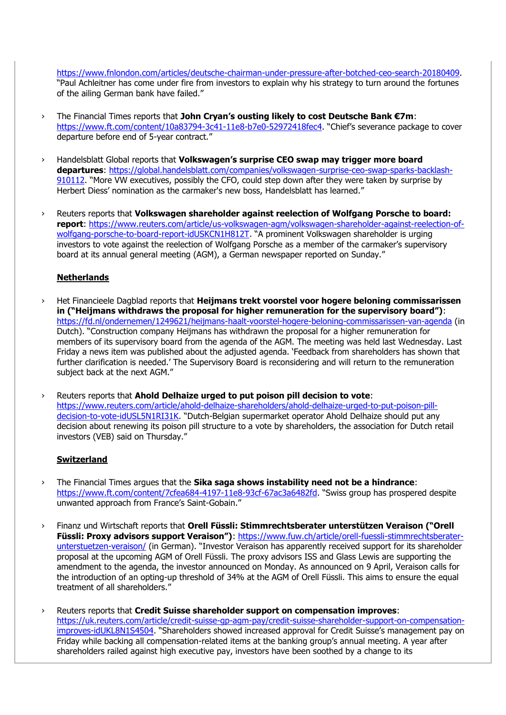[https://www.fnlondon.com/articles/deutsche-chairman-under-pressure-after-botched-ceo-search-20180409.](https://www.fnlondon.com/articles/deutsche-chairman-under-pressure-after-botched-ceo-search-20180409) "Paul Achleitner has come under fire from investors to explain why his strategy to turn around the fortunes of the ailing German bank have failed."

- › The Financial Times reports that **John Cryan's ousting likely to cost Deutsche Bank €7m**: <https://www.ft.com/content/10a83794-3c41-11e8-b7e0-52972418fec4>. "Chief's severance package to cover departure before end of 5-year contract."
- › Handelsblatt Global reports that **Volkswagen's surprise CEO swap may trigger more board departures**: [https://global.handelsblatt.com/companies/volkswagen-surprise-ceo-swap-sparks-backlash-](https://global.handelsblatt.com/companies/volkswagen-surprise-ceo-swap-sparks-backlash-910112)[910112](https://global.handelsblatt.com/companies/volkswagen-surprise-ceo-swap-sparks-backlash-910112). "More VW executives, possibly the CFO, could step down after they were taken by surprise by Herbert Diess' nomination as the carmaker's new boss, Handelsblatt has learned."
- › Reuters reports that **Volkswagen shareholder against reelection of Wolfgang Porsche to board: report**: [https://www.reuters.com/article/us-volkswagen-agm/volkswagen-shareholder-against-reelection-of](https://www.reuters.com/article/us-volkswagen-agm/volkswagen-shareholder-against-reelection-of-wolfgang-porsche-to-board-report-idUSKCN1H812T)[wolfgang-porsche-to-board-report-idUSKCN1H812T.](https://www.reuters.com/article/us-volkswagen-agm/volkswagen-shareholder-against-reelection-of-wolfgang-porsche-to-board-report-idUSKCN1H812T) "A prominent Volkswagen shareholder is urging investors to vote against the reelection of Wolfgang Porsche as a member of the carmaker's supervisory board at its annual general meeting (AGM), a German newspaper reported on Sunday."

## **Netherlands**

- › Het Financieele Dagblad reports that **Heijmans trekt voorstel voor hogere beloning commissarissen in ("Heijmans withdraws the proposal for higher remuneration for the supervisory board")**: <https://fd.nl/ondernemen/1249621/heijmans-haalt-voorstel-hogere-beloning-commissarissen-van-agenda> (in Dutch). "Construction company Heijmans has withdrawn the proposal for a higher remuneration for members of its supervisory board from the agenda of the AGM. The meeting was held last Wednesday. Last Friday a news item was published about the adjusted agenda. 'Feedback from shareholders has shown that further clarification is needed.' The Supervisory Board is reconsidering and will return to the remuneration subject back at the next AGM."
- › Reuters reports that **Ahold Delhaize urged to put poison pill decision to vote**: [https://www.reuters.com/article/ahold-delhaize-shareholders/ahold-delhaize-urged-to-put-poison-pill](https://www.reuters.com/article/ahold-delhaize-shareholders/ahold-delhaize-urged-to-put-poison-pill-decision-to-vote-idUSL5N1RI31K)[decision-to-vote-idUSL5N1RI31K](https://www.reuters.com/article/ahold-delhaize-shareholders/ahold-delhaize-urged-to-put-poison-pill-decision-to-vote-idUSL5N1RI31K). "Dutch-Belgian supermarket operator Ahold Delhaize should put any decision about renewing its poison pill structure to a vote by shareholders, the association for Dutch retail investors (VEB) said on Thursday."

## **Switzerland**

- › The Financial Times argues that the **Sika saga shows instability need not be a hindrance**: <https://www.ft.com/content/7cfea684-4197-11e8-93cf-67ac3a6482fd>. "Swiss group has prospered despite unwanted approach from France's Saint-Gobain."
- › Finanz und Wirtschaft reports that **Orell Füssli: Stimmrechtsberater unterstützen Veraison ("Orell Füssli: Proxy advisors support Veraison")**: [https://www.fuw.ch/article/orell-fuessli-stimmrechtsberater](https://www.fuw.ch/article/orell-fuessli-stimmrechtsberater-unterstuetzen-veraison/)[unterstuetzen-veraison/](https://www.fuw.ch/article/orell-fuessli-stimmrechtsberater-unterstuetzen-veraison/) (in German). "Investor Veraison has apparently received support for its shareholder proposal at the upcoming AGM of Orell Füssli. The proxy advisors ISS and Glass Lewis are supporting the amendment to the agenda, the investor announced on Monday. As announced on 9 April, Veraison calls for the introduction of an opting-up threshold of 34% at the AGM of Orell Füssli. This aims to ensure the equal treatment of all shareholders."
- › Reuters reports that **Credit Suisse shareholder support on compensation improves**: [https://uk.reuters.com/article/credit-suisse-gp-agm-pay/credit-suisse-shareholder-support-on-compensation](https://uk.reuters.com/article/credit-suisse-gp-agm-pay/credit-suisse-shareholder-support-on-compensation-improves-idUKL8N1S4504)[improves-idUKL8N1S4504](https://uk.reuters.com/article/credit-suisse-gp-agm-pay/credit-suisse-shareholder-support-on-compensation-improves-idUKL8N1S4504). "Shareholders showed increased approval for Credit Suisse's management pay on Friday while backing all compensation-related items at the banking group's annual meeting. A year after shareholders railed against high executive pay, investors have been soothed by a change to its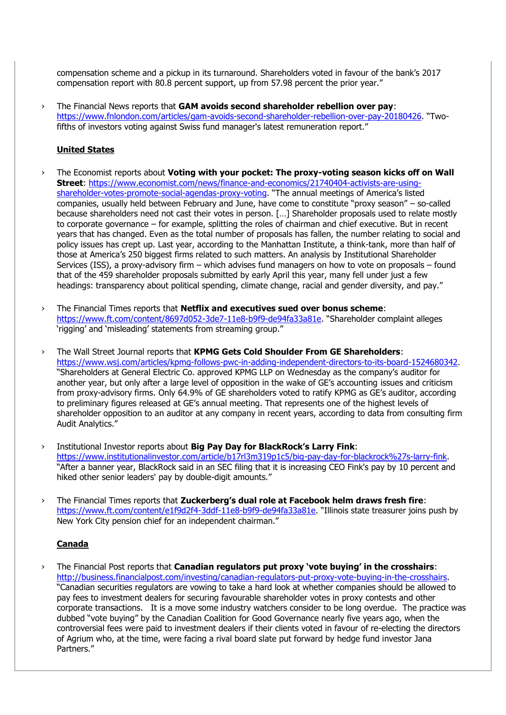compensation scheme and a pickup in its turnaround. Shareholders voted in favour of the bank's 2017 compensation report with 80.8 percent support, up from 57.98 percent the prior year."

› The Financial News reports that **GAM avoids second shareholder rebellion over pay**: <https://www.fnlondon.com/articles/gam-avoids-second-shareholder-rebellion-over-pay-20180426>. "Twofifths of investors voting against Swiss fund manager's latest remuneration report."

#### **United States**

- › The Economist reports about **Voting with your pocket: The proxy-voting season kicks off on Wall Street**: [https://www.economist.com/news/finance-and-economics/21740404-activists-are-using](https://www.economist.com/news/finance-and-economics/21740404-activists-are-using-shareholder-votes-promote-social-agendas-proxy-voting)[shareholder-votes-promote-social-agendas-proxy-voting.](https://www.economist.com/news/finance-and-economics/21740404-activists-are-using-shareholder-votes-promote-social-agendas-proxy-voting) "The annual meetings of America's listed companies, usually held between February and June, have come to constitute "proxy season" – so-called because shareholders need not cast their votes in person. […] Shareholder proposals used to relate mostly to corporate governance – for example, splitting the roles of chairman and chief executive. But in recent years that has changed. Even as the total number of proposals has fallen, the number relating to social and policy issues has crept up. Last year, according to the Manhattan Institute, a think-tank, more than half of those at America's 250 biggest firms related to such matters. An analysis by Institutional Shareholder Services (ISS), a proxy-advisory firm – which advises fund managers on how to vote on proposals – found that of the 459 shareholder proposals submitted by early April this year, many fell under just a few headings: transparency about political spending, climate change, racial and gender diversity, and pay."
- › The Financial Times reports that **Netflix and executives sued over bonus scheme**: <https://www.ft.com/content/8697d052-3de7-11e8-b9f9-de94fa33a81e>. "Shareholder complaint alleges 'rigging' and 'misleading' statements from streaming group."
- › The Wall Street Journal reports that **KPMG Gets Cold Shoulder From GE Shareholders**: [https://www.wsj.com/articles/kpmg-follows-pwc-in-adding-independent-directors-to-its-board-1524680342.](https://www.wsj.com/articles/kpmg-follows-pwc-in-adding-independent-directors-to-its-board-1524680342) "Shareholders at General Electric Co. approved KPMG LLP on Wednesday as the company's auditor for another year, but only after a large level of opposition in the wake of GE's accounting issues and criticism from proxy-advisory firms. Only 64.9% of GE shareholders voted to ratify KPMG as GE's auditor, according to preliminary figures released at GE's annual meeting. That represents one of the highest levels of shareholder opposition to an auditor at any company in recent years, according to data from consulting firm Audit Analytics."
- › Institutional Investor reports about **Big Pay Day for BlackRock's Larry Fink**: [https://www.institutionalinvestor.com/article/b17rl3m319p1c5/big-pay-day-for-blackrock%27s-larry-fink.](https://www.institutionalinvestor.com/article/b17rl3m319p1c5/big-pay-day-for-blackrock%27s-larry-fink) "After a banner year, BlackRock said in an SEC filing that it is increasing CEO Fink's pay by 10 percent and hiked other senior leaders' pay by double-digit amounts."
- › The Financial Times reports that **Zuckerberg's dual role at Facebook helm draws fresh fire**: <https://www.ft.com/content/e1f9d2f4-3ddf-11e8-b9f9-de94fa33a81e>. "Illinois state treasurer joins push by New York City pension chief for an independent chairman."

## **Canada**

› The Financial Post reports that **Canadian regulators put proxy 'vote buying' in the crosshairs**: [http://business.financialpost.com/investing/canadian-regulators-put-proxy-vote-buying-in-the-crosshairs.](http://business.financialpost.com/investing/canadian-regulators-put-proxy-vote-buying-in-the-crosshairs) "Canadian securities regulators are vowing to take a hard look at whether companies should be allowed to pay fees to investment dealers for securing favourable shareholder votes in proxy contests and other corporate transactions. It is a move some industry watchers consider to be long overdue. The practice was dubbed "vote buying" by the Canadian Coalition for Good Governance nearly five years ago, when the controversial fees were paid to investment dealers if their clients voted in favour of re-electing the directors of Agrium who, at the time, were facing a rival board slate put forward by hedge fund investor Jana Partners."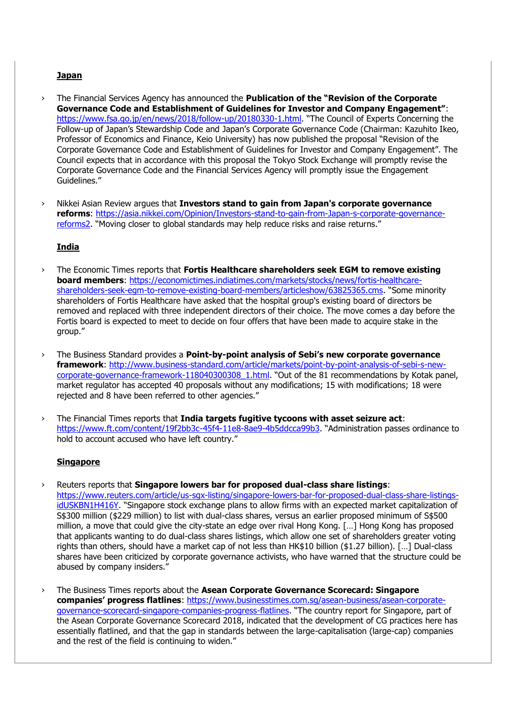## **Japan**

- › The Financial Services Agency has announced the **Publication of the "Revision of the Corporate Governance Code and Establishment of Guidelines for Investor and Company Engagement"**: <https://www.fsa.go.jp/en/news/2018/follow-up/20180330-1.html>. "The Council of Experts Concerning the Follow-up of Japan's Stewardship Code and Japan's Corporate Governance Code (Chairman: Kazuhito Ikeo, Professor of Economics and Finance, Keio University) has now published the proposal "Revision of the Corporate Governance Code and Establishment of Guidelines for Investor and Company Engagement". The Council expects that in accordance with this proposal the Tokyo Stock Exchange will promptly revise the Corporate Governance Code and the Financial Services Agency will promptly issue the Engagement Guidelines."
- › Nikkei Asian Review argues that **Investors stand to gain from Japan's corporate governance reforms**: [https://asia.nikkei.com/Opinion/Investors-stand-to-gain-from-Japan-s-corporate-governance](https://asia.nikkei.com/Opinion/Investors-stand-to-gain-from-Japan-s-corporate-governance-reforms2)[reforms2](https://asia.nikkei.com/Opinion/Investors-stand-to-gain-from-Japan-s-corporate-governance-reforms2). "Moving closer to global standards may help reduce risks and raise returns."

## **India**

- › The Economic Times reports that **Fortis Healthcare shareholders seek EGM to remove existing board members**: [https://economictimes.indiatimes.com/markets/stocks/news/fortis-healthcare](https://economictimes.indiatimes.com/markets/stocks/news/fortis-healthcare-shareholders-seek-egm-to-remove-existing-board-members/articleshow/63825365.cms)[shareholders-seek-egm-to-remove-existing-board-members/articleshow/63825365.cms](https://economictimes.indiatimes.com/markets/stocks/news/fortis-healthcare-shareholders-seek-egm-to-remove-existing-board-members/articleshow/63825365.cms). "Some minority shareholders of Fortis Healthcare have asked that the hospital group's existing board of directors be removed and replaced with three independent directors of their choice. The move comes a day before the Fortis board is expected to meet to decide on four offers that have been made to acquire stake in the group."
- › The Business Standard provides a **Point-by-point analysis of Sebi's new corporate governance framework**: [http://www.business-standard.com/article/markets/point-by-point-analysis-of-sebi-s-new](http://www.business-standard.com/article/markets/point-by-point-analysis-of-sebi-s-new-corporate-governance-framework-118040300308_1.html)[corporate-governance-framework-118040300308\\_1.html](http://www.business-standard.com/article/markets/point-by-point-analysis-of-sebi-s-new-corporate-governance-framework-118040300308_1.html). "Out of the 81 recommendations by Kotak panel, market regulator has accepted 40 proposals without any modifications; 15 with modifications; 18 were rejected and 8 have been referred to other agencies."
- › The Financial Times reports that **India targets fugitive tycoons with asset seizure act**: <https://www.ft.com/content/19f2bb3c-45f4-11e8-8ae9-4b5ddcca99b3>. "Administration passes ordinance to hold to account accused who have left country."

#### **Singapore**

- › Reuters reports that **Singapore lowers bar for proposed dual-class share listings**: [https://www.reuters.com/article/us-sgx-listing/singapore-lowers-bar-for-proposed-dual-class-share-listings](https://www.reuters.com/article/us-sgx-listing/singapore-lowers-bar-for-proposed-dual-class-share-listings-idUSKBN1H416Y)[idUSKBN1H416Y](https://www.reuters.com/article/us-sgx-listing/singapore-lowers-bar-for-proposed-dual-class-share-listings-idUSKBN1H416Y). "Singapore stock exchange plans to allow firms with an expected market capitalization of S\$300 million (\$229 million) to list with dual-class shares, versus an earlier proposed minimum of S\$500 million, a move that could give the city-state an edge over rival Hong Kong. […] Hong Kong has proposed that applicants wanting to do dual-class shares listings, which allow one set of shareholders greater voting rights than others, should have a market cap of not less than HK\$10 billion (\$1.27 billion). […] Dual-class shares have been criticized by corporate governance activists, who have warned that the structure could be abused by company insiders."
- › The Business Times reports about the **Asean Corporate Governance Scorecard: Singapore companies' progress flatlines**: [https://www.businesstimes.com.sg/asean-business/asean-corporate](https://www.businesstimes.com.sg/asean-business/asean-corporate-governance-scorecard-singapore-companies-progress-flatlines)[governance-scorecard-singapore-companies-progress-flatlines](https://www.businesstimes.com.sg/asean-business/asean-corporate-governance-scorecard-singapore-companies-progress-flatlines). "The country report for Singapore, part of the Asean Corporate Governance Scorecard 2018, indicated that the development of CG practices here has essentially flatlined, and that the gap in standards between the large-capitalisation (large-cap) companies and the rest of the field is continuing to widen."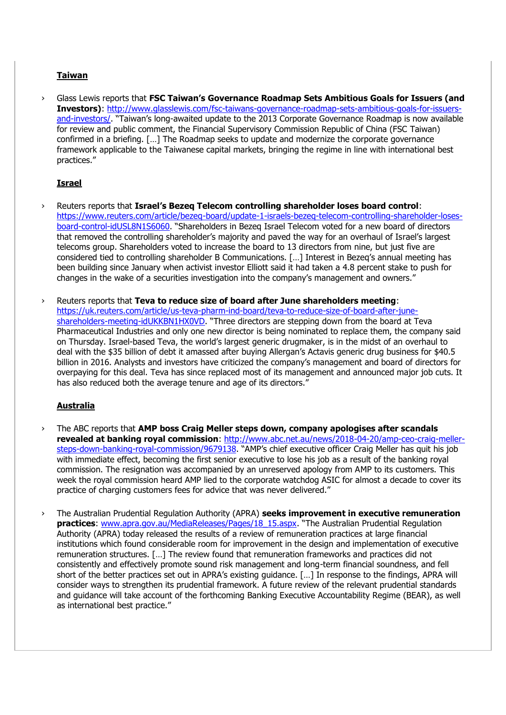## **Taiwan**

Glass Lewis reports that **FSC Taiwan's Governance Roadmap Sets Ambitious Goals for Issuers (and Investors)**: [http://www.glasslewis.com/fsc-taiwans-governance-roadmap-sets-ambitious-goals-for-issuers](http://www.glasslewis.com/fsc-taiwans-governance-roadmap-sets-ambitious-goals-for-issuers-and-investors/)[and-investors/](http://www.glasslewis.com/fsc-taiwans-governance-roadmap-sets-ambitious-goals-for-issuers-and-investors/). "Taiwan's long-awaited update to the 2013 Corporate Governance Roadmap is now available for review and public comment, the Financial Supervisory Commission Republic of China (FSC Taiwan) confirmed in a briefing. […] The Roadmap seeks to update and modernize the corporate governance framework applicable to the Taiwanese capital markets, bringing the regime in line with international best practices."

# **Israel**

- › Reuters reports that **Israel's Bezeq Telecom controlling shareholder loses board control**: [https://www.reuters.com/article/bezeq-board/update-1-israels-bezeq-telecom-controlling-shareholder-loses](https://www.reuters.com/article/bezeq-board/update-1-israels-bezeq-telecom-controlling-shareholder-loses-board-control-idUSL8N1S6060)[board-control-idUSL8N1S6060](https://www.reuters.com/article/bezeq-board/update-1-israels-bezeq-telecom-controlling-shareholder-loses-board-control-idUSL8N1S6060). "Shareholders in Bezeq Israel Telecom voted for a new board of directors that removed the controlling shareholder's majority and paved the way for an overhaul of Israel's largest telecoms group. Shareholders voted to increase the board to 13 directors from nine, but just five are considered tied to controlling shareholder B Communications. […] Interest in Bezeq's annual meeting has been building since January when activist investor Elliott said it had taken a 4.8 percent stake to push for changes in the wake of a securities investigation into the company's management and owners."
- › Reuters reports that **Teva to reduce size of board after June shareholders meeting**: [https://uk.reuters.com/article/us-teva-pharm-ind-board/teva-to-reduce-size-of-board-after-june](https://uk.reuters.com/article/us-teva-pharm-ind-board/teva-to-reduce-size-of-board-after-june-shareholders-meeting-idUKKBN1HX0VD)[shareholders-meeting-idUKKBN1HX0VD](https://uk.reuters.com/article/us-teva-pharm-ind-board/teva-to-reduce-size-of-board-after-june-shareholders-meeting-idUKKBN1HX0VD). "Three directors are stepping down from the board at Teva Pharmaceutical Industries and only one new director is being nominated to replace them, the company said on Thursday. Israel-based Teva, the world's largest generic drugmaker, is in the midst of an overhaul to deal with the \$35 billion of debt it amassed after buying Allergan's Actavis generic drug business for \$40.5 billion in 2016. Analysts and investors have criticized the company's management and board of directors for overpaying for this deal. Teva has since replaced most of its management and announced major job cuts. It has also reduced both the average tenure and age of its directors."

## **Australia**

- › The ABC reports that **AMP boss Craig Meller steps down, company apologises after scandals revealed at banking royal commission**: [http://www.abc.net.au/news/2018-04-20/amp-ceo-craig-meller](http://www.abc.net.au/news/2018-04-20/amp-ceo-craig-meller-steps-down-banking-royal-commission/9679138)[steps-down-banking-royal-commission/9679138](http://www.abc.net.au/news/2018-04-20/amp-ceo-craig-meller-steps-down-banking-royal-commission/9679138). "AMP's chief executive officer Craig Meller has quit his job with immediate effect, becoming the first senior executive to lose his job as a result of the banking royal commission. The resignation was accompanied by an unreserved apology from AMP to its customers. This week the royal commission heard AMP lied to the corporate watchdog ASIC for almost a decade to cover its practice of charging customers fees for advice that was never delivered."
- › The Australian Prudential Regulation Authority (APRA) **seeks improvement in executive remuneration practices:** [www.apra.gov.au/MediaReleases/Pages/18\\_15.aspx](http://www.apra.gov.au/MediaReleases/Pages/18_15.aspx). "The Australian Prudential Regulation Authority (APRA) today released the results of a review of remuneration practices at large financial institutions which found considerable room for improvement in the design and implementation of executive remuneration structures. […] The review found that remuneration frameworks and practices did not consistently and effectively promote sound risk management and long-term financial soundness, and fell short of the better practices set out in APRA's existing guidance. […] In response to the findings, APRA will consider ways to strengthen its prudential framework. A future review of the relevant prudential standards and guidance will take account of the forthcoming Banking Executive Accountability Regime (BEAR), as well as international best practice."